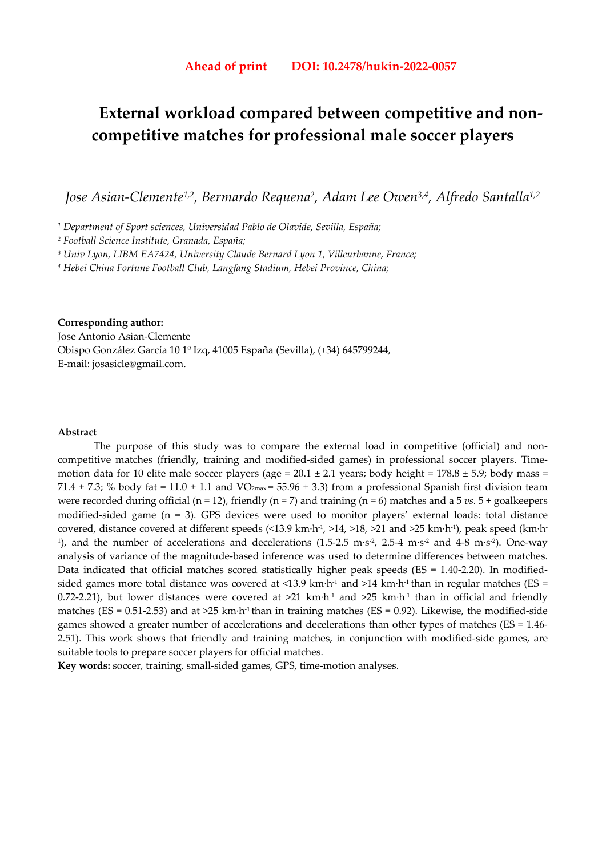# **External workload compared between competitive and noncompetitive matches for professional male soccer players**

*Jose Asian-Clemente1,2, Bermardo Requena2, Adam Lee Owen3,4, Alfredo Santalla1,2*

*1 Department of Sport sciences, Universidad Pablo de Olavide, Sevilla, España;* 

*2 Football Science Institute, Granada, España;*

*3 Univ Lyon, LIBM EA7424, University Claude Bernard Lyon 1, Villeurbanne, France;* 

*4 Hebei China Fortune Football Club, Langfang Stadium, Hebei Province, China;* 

# **Corresponding author:**

Jose Antonio Asian-Clemente Obispo González García 10 1º Izq, 41005 España (Sevilla), (+34) 645799244, E-mail: josasicle@gmail.com.

#### **Abstract**

The purpose of this study was to compare the external load in competitive (official) and noncompetitive matches (friendly, training and modified-sided games) in professional soccer players. Timemotion data for 10 elite male soccer players (age =  $20.1 \pm 2.1$  years; body height =  $178.8 \pm 5.9$ ; body mass = 71.4  $\pm$  7.3; % body fat = 11.0  $\pm$  1.1 and VO<sub>2max</sub> = 55.96  $\pm$  3.3) from a professional Spanish first division team were recorded during official (n = 12), friendly (n = 7) and training (n = 6) matches and a 5 *vs.* 5 + goalkeepers modified-sided game (n = 3). GPS devices were used to monitor players' external loads: total distance covered, distance covered at different speeds (<13.9 km·h-1, >14, >18, >21 and >25 km·h-1), peak speed (km·h-<sup>1</sup>), and the number of accelerations and decelerations  $(1.5{\text -}2.5 \text{ m}\cdot\text{s}^2, 2.5{\text -}4 \text{ m}\cdot\text{s}^2, \text{ and } 4{\text -}8 \text{ m}\cdot\text{s}^2)$ . One-way analysis of variance of the magnitude-based inference was used to determine differences between matches. Data indicated that official matches scored statistically higher peak speeds (ES = 1.40-2.20). In modifiedsided games more total distance was covered at <13.9 km·h<sup>-1</sup> and >14 km·h<sup>-1</sup> than in regular matches (ES = 0.72-2.21), but lower distances were covered at  $>21$  km·h<sup>-1</sup> and  $>25$  km·h<sup>-1</sup> than in official and friendly matches ( $ES = 0.51-2.53$ ) and at  $>25$  km·h<sup>-1</sup> than in training matches ( $ES = 0.92$ ). Likewise, the modified-side games showed a greater number of accelerations and decelerations than other types of matches (ES = 1.46- 2.51). This work shows that friendly and training matches, in conjunction with modified-side games, are suitable tools to prepare soccer players for official matches.

**Key words:** soccer, training, small-sided games, GPS, time-motion analyses.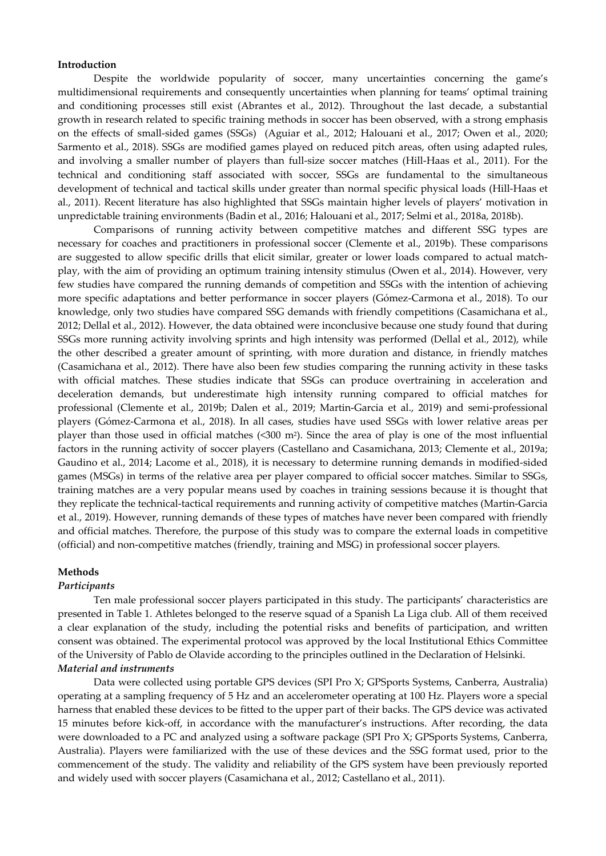#### **Introduction**

Despite the worldwide popularity of soccer, many uncertainties concerning the game's multidimensional requirements and consequently uncertainties when planning for teams' optimal training and conditioning processes still exist (Abrantes et al., 2012). Throughout the last decade, a substantial growth in research related to specific training methods in soccer has been observed, with a strong emphasis on the effects of small-sided games (SSGs) (Aguiar et al., 2012; Halouani et al., 2017; Owen et al., 2020; Sarmento et al., 2018). SSGs are modified games played on reduced pitch areas, often using adapted rules, and involving a smaller number of players than full-size soccer matches (Hill-Haas et al., 2011). For the technical and conditioning staff associated with soccer, SSGs are fundamental to the simultaneous development of technical and tactical skills under greater than normal specific physical loads (Hill-Haas et al., 2011). Recent literature has also highlighted that SSGs maintain higher levels of players' motivation in unpredictable training environments (Badin et al., 2016; Halouani et al., 2017; Selmi et al., 2018a, 2018b).

Comparisons of running activity between competitive matches and different SSG types are necessary for coaches and practitioners in professional soccer (Clemente et al., 2019b). These comparisons are suggested to allow specific drills that elicit similar, greater or lower loads compared to actual matchplay, with the aim of providing an optimum training intensity stimulus (Owen et al., 2014). However, very few studies have compared the running demands of competition and SSGs with the intention of achieving more specific adaptations and better performance in soccer players (Gómez-Carmona et al., 2018). To our knowledge, only two studies have compared SSG demands with friendly competitions (Casamichana et al., 2012; Dellal et al., 2012). However, the data obtained were inconclusive because one study found that during SSGs more running activity involving sprints and high intensity was performed (Dellal et al., 2012), while the other described a greater amount of sprinting, with more duration and distance, in friendly matches (Casamichana et al., 2012). There have also been few studies comparing the running activity in these tasks with official matches. These studies indicate that SSGs can produce overtraining in acceleration and deceleration demands, but underestimate high intensity running compared to official matches for professional (Clemente et al., 2019b; Dalen et al., 2019; Martin-Garcia et al., 2019) and semi-professional players (Gómez-Carmona et al., 2018). In all cases, studies have used SSGs with lower relative areas per player than those used in official matches  $($ <300 m<sup>2</sup> $)$ . Since the area of play is one of the most influential factors in the running activity of soccer players (Castellano and Casamichana, 2013; Clemente et al., 2019a; Gaudino et al., 2014; Lacome et al., 2018), it is necessary to determine running demands in modified-sided games (MSGs) in terms of the relative area per player compared to official soccer matches. Similar to SSGs, training matches are a very popular means used by coaches in training sessions because it is thought that they replicate the technical-tactical requirements and running activity of competitive matches (Martin-Garcia et al., 2019). However, running demands of these types of matches have never been compared with friendly and official matches. Therefore, the purpose of this study was to compare the external loads in competitive (official) and non-competitive matches (friendly, training and MSG) in professional soccer players.

#### **Methods**

## *Participants*

Ten male professional soccer players participated in this study. The participants' characteristics are presented in Table 1. Athletes belonged to the reserve squad of a Spanish La Liga club. All of them received a clear explanation of the study, including the potential risks and benefits of participation, and written consent was obtained. The experimental protocol was approved by the local Institutional Ethics Committee of the University of Pablo de Olavide according to the principles outlined in the Declaration of Helsinki. *Material and instruments* 

Data were collected using portable GPS devices (SPI Pro X; GPSports Systems, Canberra, Australia) operating at a sampling frequency of 5 Hz and an accelerometer operating at 100 Hz. Players wore a special harness that enabled these devices to be fitted to the upper part of their backs. The GPS device was activated 15 minutes before kick-off, in accordance with the manufacturer's instructions. After recording, the data were downloaded to a PC and analyzed using a software package (SPI Pro X; GPSports Systems, Canberra, Australia). Players were familiarized with the use of these devices and the SSG format used, prior to the commencement of the study. The validity and reliability of the GPS system have been previously reported and widely used with soccer players (Casamichana et al., 2012; Castellano et al., 2011).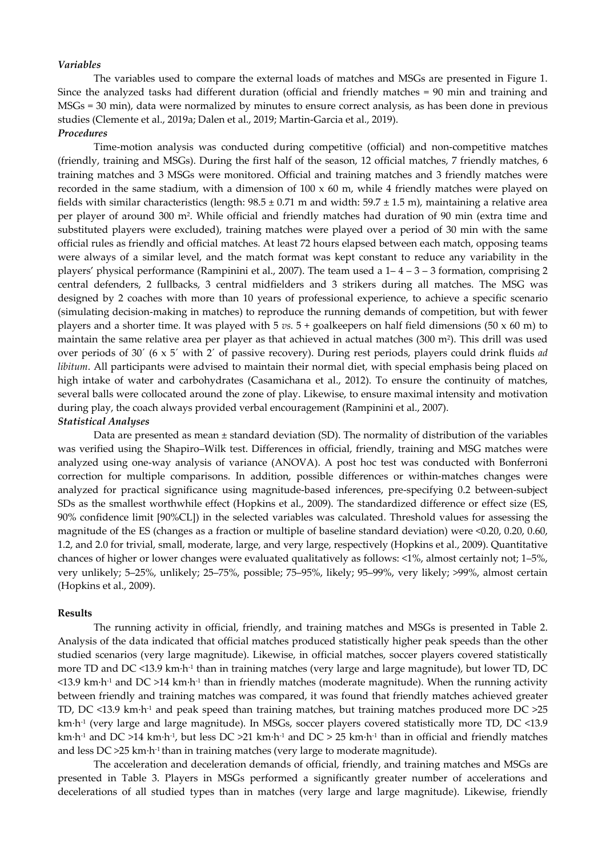#### *Variables*

The variables used to compare the external loads of matches and MSGs are presented in Figure 1. Since the analyzed tasks had different duration (official and friendly matches = 90 min and training and MSGs = 30 min), data were normalized by minutes to ensure correct analysis, as has been done in previous studies (Clemente et al., 2019a; Dalen et al., 2019; Martin-Garcia et al., 2019). *Procedures* 

Time-motion analysis was conducted during competitive (official) and non-competitive matches (friendly, training and MSGs). During the first half of the season, 12 official matches, 7 friendly matches, 6 training matches and 3 MSGs were monitored. Official and training matches and 3 friendly matches were recorded in the same stadium, with a dimension of  $100 \times 60$  m, while 4 friendly matches were played on fields with similar characteristics (length:  $98.5 \pm 0.71$  m and width:  $59.7 \pm 1.5$  m), maintaining a relative area per player of around 300 m2. While official and friendly matches had duration of 90 min (extra time and substituted players were excluded), training matches were played over a period of 30 min with the same official rules as friendly and official matches. At least 72 hours elapsed between each match, opposing teams were always of a similar level, and the match format was kept constant to reduce any variability in the players' physical performance (Rampinini et al., 2007). The team used a  $1-4-3-3$  formation, comprising 2 central defenders, 2 fullbacks, 3 central midfielders and 3 strikers during all matches. The MSG was designed by 2 coaches with more than 10 years of professional experience, to achieve a specific scenario (simulating decision-making in matches) to reproduce the running demands of competition, but with fewer players and a shorter time. It was played with 5 *vs.* 5 + goalkeepers on half field dimensions (50 x 60 m) to maintain the same relative area per player as that achieved in actual matches  $(300 \text{ m}^2)$ . This drill was used over periods of 30´ (6 x 5´ with 2´ of passive recovery). During rest periods, players could drink fluids *ad libitum*. All participants were advised to maintain their normal diet, with special emphasis being placed on high intake of water and carbohydrates (Casamichana et al., 2012). To ensure the continuity of matches, several balls were collocated around the zone of play. Likewise, to ensure maximal intensity and motivation during play, the coach always provided verbal encouragement (Rampinini et al., 2007). *Statistical Analyses* 

Data are presented as mean  $\pm$  standard deviation (SD). The normality of distribution of the variables was verified using the Shapiro–Wilk test. Differences in official, friendly, training and MSG matches were analyzed using one-way analysis of variance (ANOVA). A post hoc test was conducted with Bonferroni correction for multiple comparisons. In addition, possible differences or within-matches changes were analyzed for practical significance using magnitude-based inferences, pre-specifying 0.2 between-subject SDs as the smallest worthwhile effect (Hopkins et al., 2009). The standardized difference or effect size (ES, 90% confidence limit [90%CL]) in the selected variables was calculated. Threshold values for assessing the magnitude of the ES (changes as a fraction or multiple of baseline standard deviation) were <0.20, 0.20, 0.60, 1.2, and 2.0 for trivial, small, moderate, large, and very large, respectively (Hopkins et al., 2009). Quantitative chances of higher or lower changes were evaluated qualitatively as follows: <1%, almost certainly not; 1–5%, very unlikely; 5–25%, unlikely; 25–75%, possible; 75–95%, likely; 95–99%, very likely; >99%, almost certain (Hopkins et al., 2009).

#### **Results**

The running activity in official, friendly, and training matches and MSGs is presented in Table 2. Analysis of the data indicated that official matches produced statistically higher peak speeds than the other studied scenarios (very large magnitude). Likewise, in official matches, soccer players covered statistically more TD and DC <13.9 km·h-1 than in training matches (very large and large magnitude), but lower TD, DC  $\leq$ 13.9 km·h<sup>-1</sup> and DC  $>$ 14 km·h<sup>-1</sup> than in friendly matches (moderate magnitude). When the running activity between friendly and training matches was compared, it was found that friendly matches achieved greater TD, DC <13.9 km·h<sup>-1</sup> and peak speed than training matches, but training matches produced more DC  $>25$ km·h<sup>-1</sup> (very large and large magnitude). In MSGs, soccer players covered statistically more TD, DC <13.9 km·h<sup>-1</sup> and DC >14 km·h<sup>-1</sup>, but less DC >21 km·h<sup>-1</sup> and DC > 25 km·h<sup>-1</sup> than in official and friendly matches and less DC >25 km·h-1 than in training matches (very large to moderate magnitude).

The acceleration and deceleration demands of official, friendly, and training matches and MSGs are presented in Table 3. Players in MSGs performed a significantly greater number of accelerations and decelerations of all studied types than in matches (very large and large magnitude). Likewise, friendly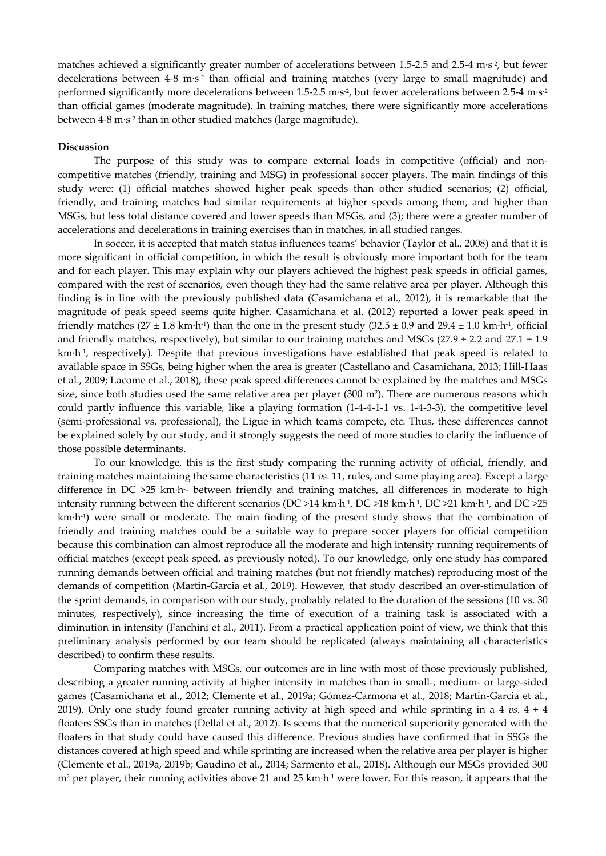matches achieved a significantly greater number of accelerations between 1.5-2.5 and 2.5-4 m·s-2, but fewer decelerations between 4-8 m·s<sup>-2</sup> than official and training matches (very large to small magnitude) and performed significantly more decelerations between 1.5-2.5 m·s<sup>-2</sup>, but fewer accelerations between 2.5-4 m·s<sup>-2</sup> than official games (moderate magnitude). In training matches, there were significantly more accelerations between 4-8 m·s<sup>-2</sup> than in other studied matches (large magnitude).

#### **Discussion**

The purpose of this study was to compare external loads in competitive (official) and noncompetitive matches (friendly, training and MSG) in professional soccer players. The main findings of this study were: (1) official matches showed higher peak speeds than other studied scenarios; (2) official, friendly, and training matches had similar requirements at higher speeds among them, and higher than MSGs, but less total distance covered and lower speeds than MSGs, and (3); there were a greater number of accelerations and decelerations in training exercises than in matches, in all studied ranges.

In soccer, it is accepted that match status influences teams' behavior (Taylor et al., 2008) and that it is more significant in official competition, in which the result is obviously more important both for the team and for each player. This may explain why our players achieved the highest peak speeds in official games, compared with the rest of scenarios, even though they had the same relative area per player. Although this finding is in line with the previously published data (Casamichana et al., 2012), it is remarkable that the magnitude of peak speed seems quite higher. Casamichana et al. (2012) reported a lower peak speed in friendly matches  $(27 \pm 1.8 \text{ km} \cdot \text{h}^{\text{-1}})$  than the one in the present study  $(32.5 \pm 0.9 \text{ and } 29.4 \pm 1.0 \text{ km} \cdot \text{h}^{\text{-1}})$ , official and friendly matches, respectively), but similar to our training matches and MSGs ( $27.9 \pm 2.2$  and  $27.1 \pm 1.9$ ) km·h-1, respectively). Despite that previous investigations have established that peak speed is related to available space in SSGs, being higher when the area is greater (Castellano and Casamichana, 2013; Hill-Haas et al., 2009; Lacome et al., 2018), these peak speed differences cannot be explained by the matches and MSGs size, since both studies used the same relative area per player (300 m<sup>2</sup>). There are numerous reasons which could partly influence this variable, like a playing formation (1-4-4-1-1 vs. 1-4-3-3), the competitive level (semi-professional vs. professional), the Ligue in which teams compete, etc. Thus, these differences cannot be explained solely by our study, and it strongly suggests the need of more studies to clarify the influence of those possible determinants.

To our knowledge, this is the first study comparing the running activity of official, friendly, and training matches maintaining the same characteristics (11 *vs.* 11, rules, and same playing area). Except a large difference in DC >25 km·h<sup>-1</sup> between friendly and training matches, all differences in moderate to high intensity running between the different scenarios (DC >14 km·h-1, DC >18 km·h-1, DC >21 km·h-1, and DC >25 km·h<sup>-1</sup>) were small or moderate. The main finding of the present study shows that the combination of friendly and training matches could be a suitable way to prepare soccer players for official competition because this combination can almost reproduce all the moderate and high intensity running requirements of official matches (except peak speed, as previously noted). To our knowledge, only one study has compared running demands between official and training matches (but not friendly matches) reproducing most of the demands of competition (Martin-Garcia et al., 2019). However, that study described an over-stimulation of the sprint demands, in comparison with our study, probably related to the duration of the sessions (10 vs. 30 minutes, respectively), since increasing the time of execution of a training task is associated with a diminution in intensity (Fanchini et al., 2011). From a practical application point of view, we think that this preliminary analysis performed by our team should be replicated (always maintaining all characteristics described) to confirm these results.

Comparing matches with MSGs, our outcomes are in line with most of those previously published, describing a greater running activity at higher intensity in matches than in small-, medium- or large-sided games (Casamichana et al., 2012; Clemente et al., 2019a; Gómez-Carmona et al., 2018; Martin-Garcia et al., 2019). Only one study found greater running activity at high speed and while sprinting in a 4 *vs.* 4 + 4 floaters SSGs than in matches (Dellal et al., 2012). Is seems that the numerical superiority generated with the floaters in that study could have caused this difference. Previous studies have confirmed that in SSGs the distances covered at high speed and while sprinting are increased when the relative area per player is higher (Clemente et al., 2019a, 2019b; Gaudino et al., 2014; Sarmento et al., 2018). Although our MSGs provided 300 m<sup>2</sup> per player, their running activities above 21 and 25 km·h<sup>-1</sup> were lower. For this reason, it appears that the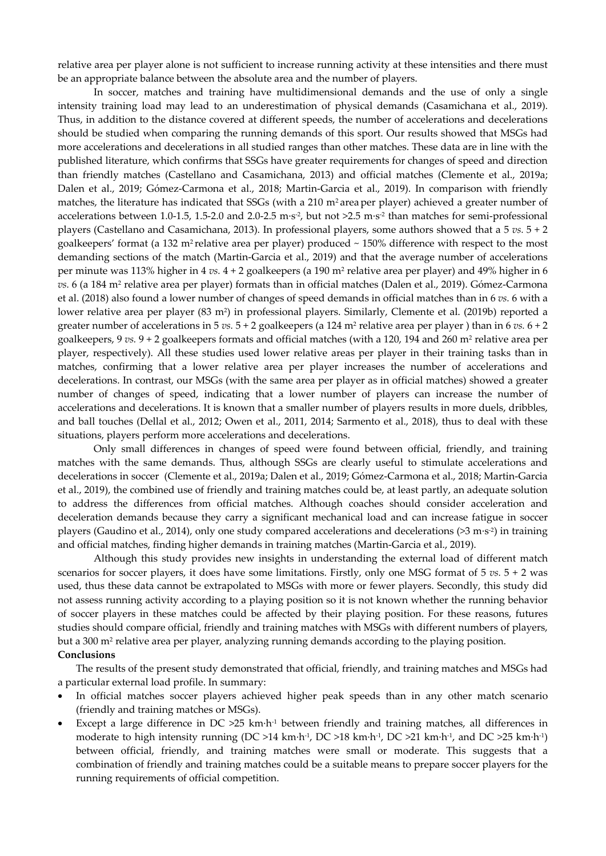relative area per player alone is not sufficient to increase running activity at these intensities and there must be an appropriate balance between the absolute area and the number of players.

In soccer, matches and training have multidimensional demands and the use of only a single intensity training load may lead to an underestimation of physical demands (Casamichana et al., 2019). Thus, in addition to the distance covered at different speeds, the number of accelerations and decelerations should be studied when comparing the running demands of this sport. Our results showed that MSGs had more accelerations and decelerations in all studied ranges than other matches. These data are in line with the published literature, which confirms that SSGs have greater requirements for changes of speed and direction than friendly matches (Castellano and Casamichana, 2013) and official matches (Clemente et al., 2019a; Dalen et al., 2019; Gómez-Carmona et al., 2018; Martin-Garcia et al., 2019). In comparison with friendly matches, the literature has indicated that SSGs (with a 210 m<sup>2</sup> area per player) achieved a greater number of accelerations between 1.0-1.5, 1.5-2.0 and 2.0-2.5 m·s<sup>-2</sup>, but not >2.5 m·s<sup>-2</sup> than matches for semi-professional players (Castellano and Casamichana, 2013). In professional players, some authors showed that a 5 *vs.* 5 + 2 goalkeepers' format (a 132 m<sup>2</sup> relative area per player) produced  $\sim$  150% difference with respect to the most demanding sections of the match (Martin-Garcia et al., 2019) and that the average number of accelerations per minute was 113% higher in 4 *vs.* 4 + 2 goalkeepers (a 190 m2 relative area per player) and 49% higher in 6 *vs.* 6 (a 184 m2 relative area per player) formats than in official matches (Dalen et al., 2019). Gómez-Carmona et al. (2018) also found a lower number of changes of speed demands in official matches than in 6 *vs.* 6 with a lower relative area per player (83 m<sup>2</sup>) in professional players. Similarly, Clemente et al. (2019b) reported a greater number of accelerations in 5  $vs. 5 + 2$  goalkeepers (a 124 m<sup>2</sup> relative area per player) than in 6  $vs. 6 + 2$ goalkeepers, 9 *vs.* 9 + 2 goalkeepers formats and official matches (with a 120, 194 and 260 m2 relative area per player, respectively). All these studies used lower relative areas per player in their training tasks than in matches, confirming that a lower relative area per player increases the number of accelerations and decelerations. In contrast, our MSGs (with the same area per player as in official matches) showed a greater number of changes of speed, indicating that a lower number of players can increase the number of accelerations and decelerations. It is known that a smaller number of players results in more duels, dribbles, and ball touches (Dellal et al., 2012; Owen et al., 2011, 2014; Sarmento et al., 2018), thus to deal with these situations, players perform more accelerations and decelerations.

Only small differences in changes of speed were found between official, friendly, and training matches with the same demands. Thus, although SSGs are clearly useful to stimulate accelerations and decelerations in soccer (Clemente et al., 2019a; Dalen et al., 2019; Gómez-Carmona et al., 2018; Martin-Garcia et al., 2019), the combined use of friendly and training matches could be, at least partly, an adequate solution to address the differences from official matches. Although coaches should consider acceleration and deceleration demands because they carry a significant mechanical load and can increase fatigue in soccer players (Gaudino et al., 2014), only one study compared accelerations and decelerations (>3 m·s-2) in training and official matches, finding higher demands in training matches (Martin-Garcia et al., 2019).

Although this study provides new insights in understanding the external load of different match scenarios for soccer players, it does have some limitations. Firstly, only one MSG format of 5 *vs.* 5 + 2 was used, thus these data cannot be extrapolated to MSGs with more or fewer players. Secondly, this study did not assess running activity according to a playing position so it is not known whether the running behavior of soccer players in these matches could be affected by their playing position. For these reasons, futures studies should compare official, friendly and training matches with MSGs with different numbers of players, but a 300 m<sup>2</sup> relative area per player, analyzing running demands according to the playing position. **Conclusions** 

The results of the present study demonstrated that official, friendly, and training matches and MSGs had a particular external load profile. In summary:

- In official matches soccer players achieved higher peak speeds than in any other match scenario (friendly and training matches or MSGs).
- Except a large difference in DC  $>25$  km·h<sup>-1</sup> between friendly and training matches, all differences in moderate to high intensity running (DC >14 km·h<sup>-1</sup>, DC >18 km·h<sup>-1</sup>, DC >21 km·h<sup>-1</sup>, and DC >25 km·h<sup>-1</sup>) between official, friendly, and training matches were small or moderate. This suggests that a combination of friendly and training matches could be a suitable means to prepare soccer players for the running requirements of official competition.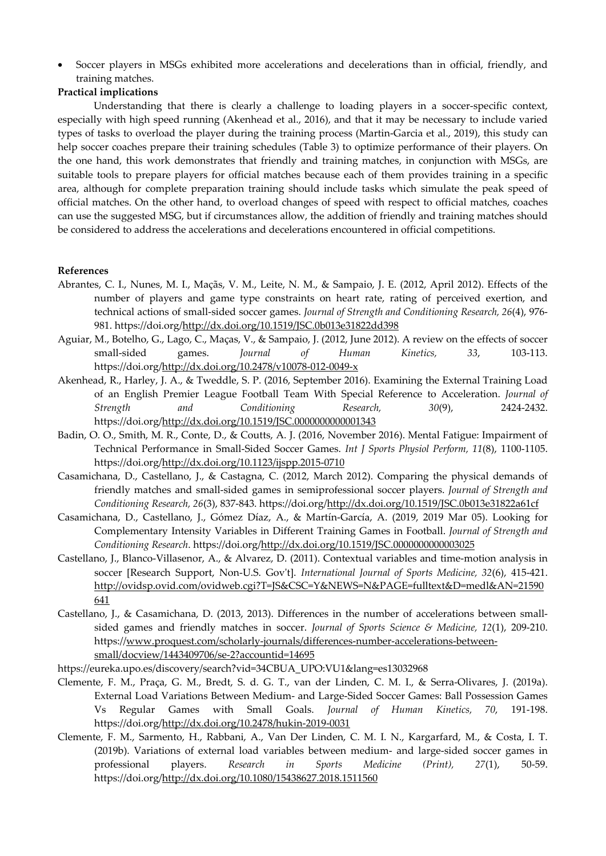• Soccer players in MSGs exhibited more accelerations and decelerations than in official, friendly, and training matches.

# **Practical implications**

Understanding that there is clearly a challenge to loading players in a soccer-specific context, especially with high speed running (Akenhead et al., 2016), and that it may be necessary to include varied types of tasks to overload the player during the training process (Martin-Garcia et al., 2019), this study can help soccer coaches prepare their training schedules (Table 3) to optimize performance of their players. On the one hand, this work demonstrates that friendly and training matches, in conjunction with MSGs, are suitable tools to prepare players for official matches because each of them provides training in a specific area, although for complete preparation training should include tasks which simulate the peak speed of official matches. On the other hand, to overload changes of speed with respect to official matches, coaches can use the suggested MSG, but if circumstances allow, the addition of friendly and training matches should be considered to address the accelerations and decelerations encountered in official competitions.

## **References**

- Abrantes, C. I., Nunes, M. I., Maçãs, V. M., Leite, N. M., & Sampaio, J. E. (2012, April 2012). Effects of the number of players and game type constraints on heart rate, rating of perceived exertion, and technical actions of small-sided soccer games. *Journal of Strength and Conditioning Research, 26*(4), 976- 981. https://doi.org/http://dx.doi.org/10.1519/JSC.0b013e31822dd398
- Aguiar, M., Botelho, G., Lago, C., Maças, V., & Sampaio, J. (2012, June 2012). A review on the effects of soccer small-sided games. *Journal of Human Kinetics, 33*, 103-113. https://doi.org/http://dx.doi.org/10.2478/v10078-012-0049-x
- Akenhead, R., Harley, J. A., & Tweddle, S. P. (2016, September 2016). Examining the External Training Load of an English Premier League Football Team With Special Reference to Acceleration. *Journal of Strength and Conditioning Research, 30*(9), 2424-2432. https://doi.org/http://dx.doi.org/10.1519/JSC.0000000000001343
- Badin, O. O., Smith, M. R., Conte, D., & Coutts, A. J. (2016, November 2016). Mental Fatigue: Impairment of Technical Performance in Small-Sided Soccer Games. *Int J Sports Physiol Perform, 11*(8), 1100-1105. https://doi.org/http://dx.doi.org/10.1123/ijspp.2015-0710
- Casamichana, D., Castellano, J., & Castagna, C. (2012, March 2012). Comparing the physical demands of friendly matches and small-sided games in semiprofessional soccer players. *Journal of Strength and Conditioning Research, 26*(3), 837-843. https://doi.org/http://dx.doi.org/10.1519/JSC.0b013e31822a61cf
- Casamichana, D., Castellano, J., Gómez Díaz, A., & Martín-García, A. (2019, 2019 Mar 05). Looking for Complementary Intensity Variables in Different Training Games in Football. *Journal of Strength and Conditioning Research*. https://doi.org/http://dx.doi.org/10.1519/JSC.0000000000003025
- Castellano, J., Blanco-Villasenor, A., & Alvarez, D. (2011). Contextual variables and time-motion analysis in soccer [Research Support, Non-U.S. Gov't]. *International Journal of Sports Medicine, 32*(6), 415-421. http://ovidsp.ovid.com/ovidweb.cgi?T=JS&CSC=Y&NEWS=N&PAGE=fulltext&D=medl&AN=21590 641
- Castellano, J., & Casamichana, D. (2013, 2013). Differences in the number of accelerations between smallsided games and friendly matches in soccer. *Journal of Sports Science & Medicine, 12*(1), 209-210. https://www.proquest.com/scholarly-journals/differences-number-accelerations-betweensmall/docview/1443409706/se-2?accountid=14695
- https://eureka.upo.es/discovery/search?vid=34CBUA\_UPO:VU1&lang=es13032968
- Clemente, F. M., Praça, G. M., Bredt, S. d. G. T., van der Linden, C. M. I., & Serra-Olivares, J. (2019a). External Load Variations Between Medium- and Large-Sided Soccer Games: Ball Possession Games Vs Regular Games with Small Goals. *Journal of Human Kinetics, 70*, 191-198. https://doi.org/http://dx.doi.org/10.2478/hukin-2019-0031
- Clemente, F. M., Sarmento, H., Rabbani, A., Van Der Linden, C. M. I. N., Kargarfard, M., & Costa, I. T. (2019b). Variations of external load variables between medium- and large-sided soccer games in professional players. *Research in Sports Medicine (Print), 27*(1), 50-59. https://doi.org/http://dx.doi.org/10.1080/15438627.2018.1511560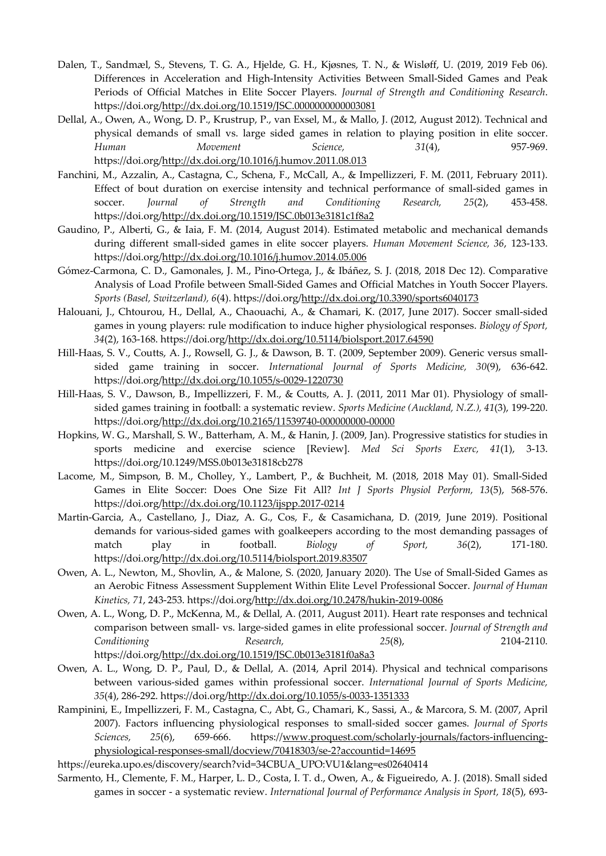- Dalen, T., Sandmæl, S., Stevens, T. G. A., Hjelde, G. H., Kjøsnes, T. N., & Wisløff, U. (2019, 2019 Feb 06). Differences in Acceleration and High-Intensity Activities Between Small-Sided Games and Peak Periods of Official Matches in Elite Soccer Players. *Journal of Strength and Conditioning Research*. https://doi.org/http://dx.doi.org/10.1519/JSC.0000000000003081
- Dellal, A., Owen, A., Wong, D. P., Krustrup, P., van Exsel, M., & Mallo, J. (2012, August 2012). Technical and physical demands of small vs. large sided games in relation to playing position in elite soccer. *Human Movement Science, 31*(4), 957-969. https://doi.org/http://dx.doi.org/10.1016/j.humov.2011.08.013
- Fanchini, M., Azzalin, A., Castagna, C., Schena, F., McCall, A., & Impellizzeri, F. M. (2011, February 2011). Effect of bout duration on exercise intensity and technical performance of small-sided games in soccer. *Journal of Strength and Conditioning Research, 25*(2), 453-458. https://doi.org/http://dx.doi.org/10.1519/JSC.0b013e3181c1f8a2
- Gaudino, P., Alberti, G., & Iaia, F. M. (2014, August 2014). Estimated metabolic and mechanical demands during different small-sided games in elite soccer players. *Human Movement Science, 36*, 123-133. https://doi.org/http://dx.doi.org/10.1016/j.humov.2014.05.006
- Gómez-Carmona, C. D., Gamonales, J. M., Pino-Ortega, J., & Ibáñez, S. J. (2018, 2018 Dec 12). Comparative Analysis of Load Profile between Small-Sided Games and Official Matches in Youth Soccer Players. *Sports (Basel, Switzerland), 6*(4). https://doi.org/http://dx.doi.org/10.3390/sports6040173
- Halouani, J., Chtourou, H., Dellal, A., Chaouachi, A., & Chamari, K. (2017, June 2017). Soccer small-sided games in young players: rule modification to induce higher physiological responses. *Biology of Sport, 34*(2), 163-168. https://doi.org/http://dx.doi.org/10.5114/biolsport.2017.64590
- Hill-Haas, S. V., Coutts, A. J., Rowsell, G. J., & Dawson, B. T. (2009, September 2009). Generic versus smallsided game training in soccer. *International Journal of Sports Medicine, 30*(9), 636-642. https://doi.org/http://dx.doi.org/10.1055/s-0029-1220730
- Hill-Haas, S. V., Dawson, B., Impellizzeri, F. M., & Coutts, A. J. (2011, 2011 Mar 01). Physiology of smallsided games training in football: a systematic review. *Sports Medicine (Auckland, N.Z.), 41*(3), 199-220. https://doi.org/http://dx.doi.org/10.2165/11539740-000000000-00000
- Hopkins, W. G., Marshall, S. W., Batterham, A. M., & Hanin, J. (2009, Jan). Progressive statistics for studies in sports medicine and exercise science [Review]. *Med Sci Sports Exerc, 41*(1), 3-13. https://doi.org/10.1249/MSS.0b013e31818cb278
- Lacome, M., Simpson, B. M., Cholley, Y., Lambert, P., & Buchheit, M. (2018, 2018 May 01). Small-Sided Games in Elite Soccer: Does One Size Fit All? *Int J Sports Physiol Perform, 13*(5), 568-576. https://doi.org/http://dx.doi.org/10.1123/ijspp.2017-0214
- Martin-Garcia, A., Castellano, J., Diaz, A. G., Cos, F., & Casamichana, D. (2019, June 2019). Positional demands for various-sided games with goalkeepers according to the most demanding passages of match play in football. *Biology of Sport, 36*(2), 171-180. https://doi.org/http://dx.doi.org/10.5114/biolsport.2019.83507
- Owen, A. L., Newton, M., Shovlin, A., & Malone, S. (2020, January 2020). The Use of Small-Sided Games as an Aerobic Fitness Assessment Supplement Within Elite Level Professional Soccer. *Journal of Human Kinetics, 71*, 243-253. https://doi.org/http://dx.doi.org/10.2478/hukin-2019-0086
- Owen, A. L., Wong, D. P., McKenna, M., & Dellal, A. (2011, August 2011). Heart rate responses and technical comparison between small- vs. large-sided games in elite professional soccer. *Journal of Strength and Conditioning Research, 25*(8), 2104-2110. https://doi.org/http://dx.doi.org/10.1519/JSC.0b013e3181f0a8a3
- Owen, A. L., Wong, D. P., Paul, D., & Dellal, A. (2014, April 2014). Physical and technical comparisons between various-sided games within professional soccer. *International Journal of Sports Medicine, 35*(4), 286-292. https://doi.org/http://dx.doi.org/10.1055/s-0033-1351333
- Rampinini, E., Impellizzeri, F. M., Castagna, C., Abt, G., Chamari, K., Sassi, A., & Marcora, S. M. (2007, April 2007). Factors influencing physiological responses to small-sided soccer games. *Journal of Sports Sciences, 25*(6), 659-666. https://www.proquest.com/scholarly-journals/factors-influencingphysiological-responses-small/docview/70418303/se-2?accountid=14695
- https://eureka.upo.es/discovery/search?vid=34CBUA\_UPO:VU1&lang=es02640414
- Sarmento, H., Clemente, F. M., Harper, L. D., Costa, I. T. d., Owen, A., & Figueiredo, A. J. (2018). Small sided games in soccer - a systematic review. *International Journal of Performance Analysis in Sport, 18*(5), 693-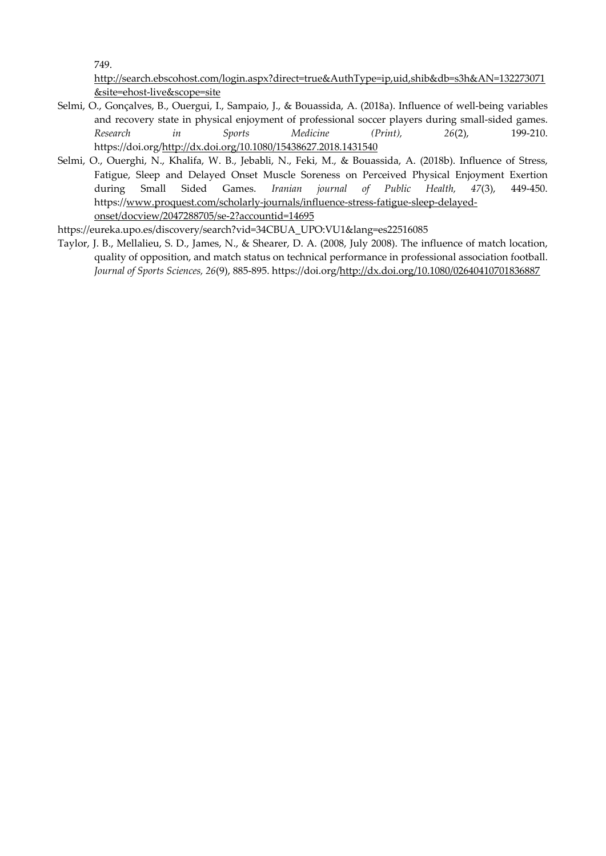749.

http://search.ebscohost.com/login.aspx?direct=true&AuthType=ip,uid,shib&db=s3h&AN=132273071 &site=ehost-live&scope=site

- Selmi, O., Gonçalves, B., Ouergui, I., Sampaio, J., & Bouassida, A. (2018a). Influence of well-being variables and recovery state in physical enjoyment of professional soccer players during small-sided games. *Research in Sports Medicine (Print), 26*(2), 199-210. https://doi.org/http://dx.doi.org/10.1080/15438627.2018.1431540
- Selmi, O., Ouerghi, N., Khalifa, W. B., Jebabli, N., Feki, M., & Bouassida, A. (2018b). Influence of Stress, Fatigue, Sleep and Delayed Onset Muscle Soreness on Perceived Physical Enjoyment Exertion during Small Sided Games. *Iranian journal of Public Health, 47*(3), 449-450. https://www.proquest.com/scholarly-journals/influence-stress-fatigue-sleep-delayedonset/docview/2047288705/se-2?accountid=14695

https://eureka.upo.es/discovery/search?vid=34CBUA\_UPO:VU1&lang=es22516085

Taylor, J. B., Mellalieu, S. D., James, N., & Shearer, D. A. (2008, July 2008). The influence of match location, quality of opposition, and match status on technical performance in professional association football. *Journal of Sports Sciences, 26*(9), 885-895. https://doi.org/http://dx.doi.org/10.1080/02640410701836887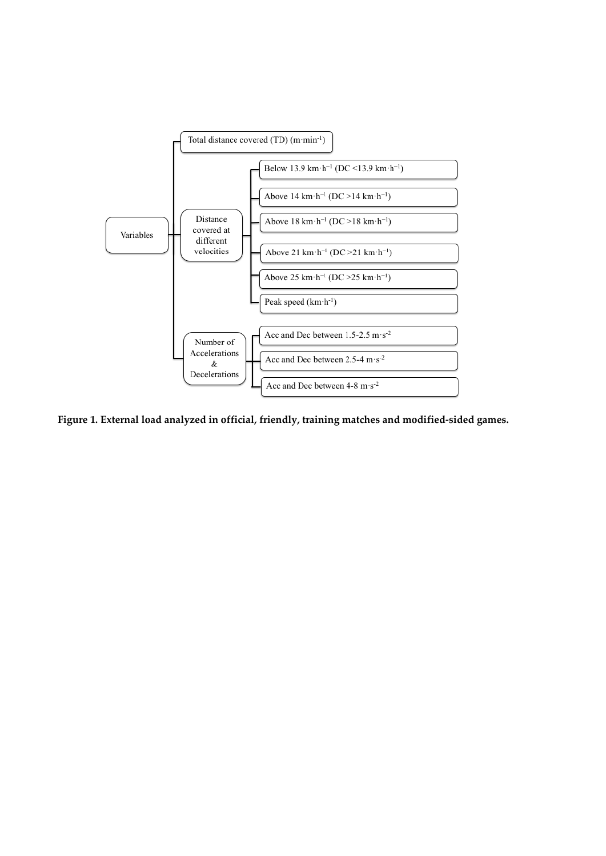

**Figure 1. External load analyzed in official, friendly, training matches and modified-sided games.**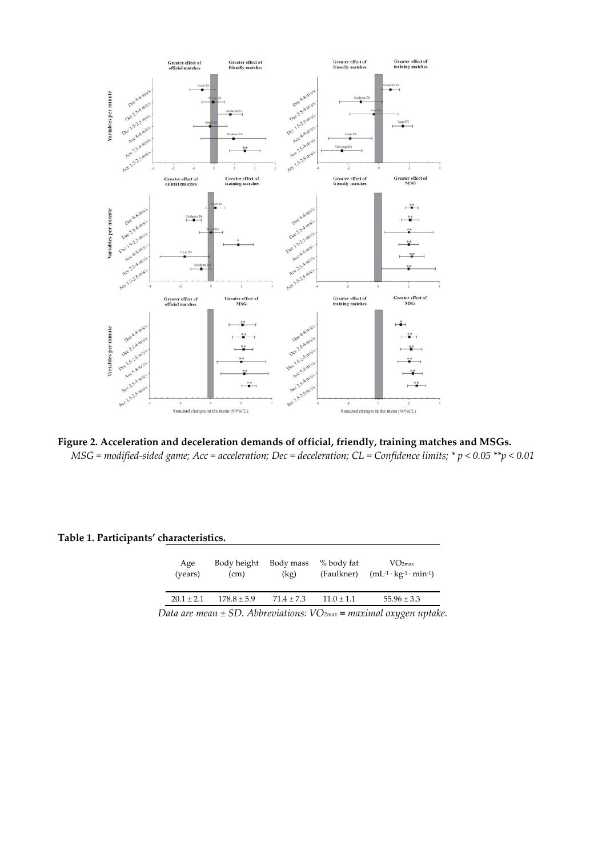

**Figure 2. Acceleration and deceleration demands of official, friendly, training matches and MSGs.**  *MSG = modified-sided game; Acc = acceleration; Dec = deceleration; CL = Confidence limits; \* p < 0.05 \*\*p < 0.01*

**Table 1. Participants' characteristics.** 

| Age<br>(years) | Body height<br>(cm) | Body mass<br>(kg) | % body fat<br>(Faulkner) | VO <sub>2max</sub><br>$(mL^{-1} \cdot \text{kg}^{-1} \cdot \text{min}^{-1})$ |
|----------------|---------------------|-------------------|--------------------------|------------------------------------------------------------------------------|
| $20.1 \pm 2.1$ | $178.8 \pm 5.9$     | $71.4 \pm 7.3$    | $11.0 \pm 1.1$           | $55.96 \pm 3.3$                                                              |
|                |                     |                   |                          |                                                                              |

*Data are mean ± SD. Abbreviations: VO2max = maximal oxygen uptake.*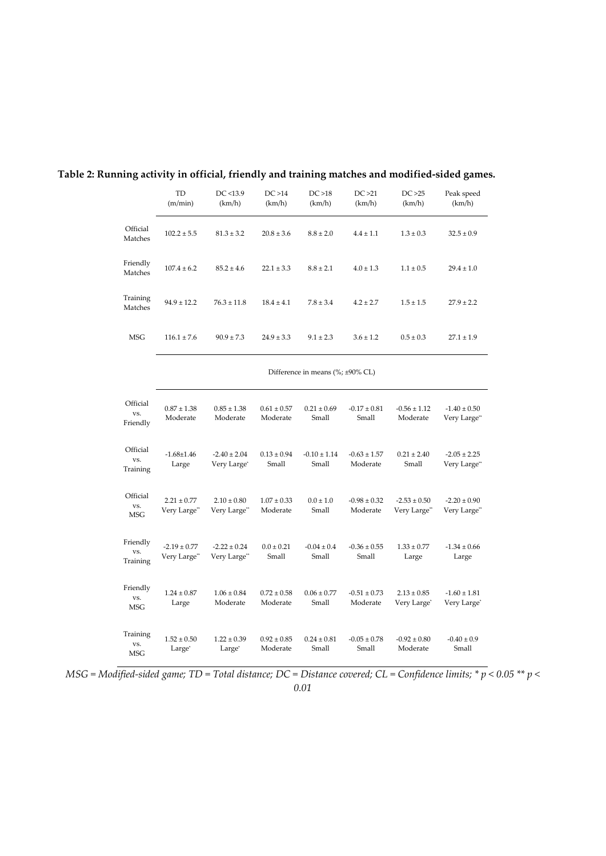|                             | <b>TD</b><br>(m/min)                   | DC < 13.9<br>(km/h)              | DC > 14<br>(km/h)           | DC > 18<br>(km/h)         | DC > 21<br>(km/h)            | DC > 25<br>(km/h)                | Peak speed<br>(km/h)             |  |
|-----------------------------|----------------------------------------|----------------------------------|-----------------------------|---------------------------|------------------------------|----------------------------------|----------------------------------|--|
| Official<br>Matches         | $102.2 \pm 5.5$                        | $81.3 \pm 3.2$                   | $20.8 \pm 3.6$              | $8.8 \pm 2.0$             | $4.4 \pm 1.1$                | $1.3 \pm 0.3$                    | $32.5 \pm 0.9$                   |  |
| Friendly<br>Matches         | $107.4 \pm 6.2$                        | $85.2 \pm 4.6$                   | $22.1 \pm 3.3$              | $8.8 \pm 2.1$             | $4.0 \pm 1.3$                | $1.1 \pm 0.5$                    | $29.4 \pm 1.0$                   |  |
| Training<br>Matches         | $94.9 \pm 12.2$                        | $76.3 \pm 11.8$                  | $18.4 \pm 4.1$              | $7.8 \pm 3.4$             | $4.2 \pm 2.7$                | $1.5 \pm 1.5$                    | $27.9 \pm 2.2$                   |  |
| <b>MSG</b>                  | $116.1 \pm 7.6$                        | $90.9 \pm 7.3$                   | $24.9 \pm 3.3$              | $9.1 \pm 2.3$             | $3.6 \pm 1.2$                | $0.5 \pm 0.3$                    | $27.1 \pm 1.9$                   |  |
|                             | Difference in means $(\%;\pm 90\%$ CL) |                                  |                             |                           |                              |                                  |                                  |  |
| Official<br>VS.<br>Friendly | $0.87 \pm 1.38$<br>Moderate            | $0.85 \pm 1.38$<br>Moderate      | $0.61 \pm 0.57$<br>Moderate | $0.21 \pm 0.69$<br>Small  | $-0.17 \pm 0.81$<br>Small    | $-0.56 \pm 1.12$<br>Moderate     | $-1.40 \pm 0.50$<br>Very Large** |  |
| Official<br>VS.<br>Training | $-1.68 \pm 1.46$<br>Large              | $-2.40 \pm 2.04$<br>Very Large*  | $0.13 \pm 0.94$<br>Small    | $-0.10 \pm 1.14$<br>Small | $-0.63 \pm 1.57$<br>Moderate | $0.21 \pm 2.40$<br>Small         | $-2.05 \pm 2.25$<br>Very Large** |  |
| Official<br>VS.<br>MSG      | $2.21 \pm 0.77$<br>Very Large**        | $2.10 \pm 0.80$<br>Very Large**  | $1.07 \pm 0.33$<br>Moderate | $0.0 \pm 1.0$<br>Small    | $-0.98 \pm 0.32$<br>Moderate | $-2.53 \pm 0.50$<br>Very Large** | $-2.20 \pm 0.90$<br>Very Large** |  |
| Friendly<br>VS.<br>Training | $-2.19 \pm 0.77$<br>Very Large**       | $-2.22 \pm 0.24$<br>Very Large** | $0.0 \pm 0.21$<br>Small     | $-0.04 \pm 0.4$<br>Small  | $-0.36 \pm 0.55$<br>Small    | $1.33 \pm 0.77$<br>Large         | $-1.34 \pm 0.66$<br>Large        |  |
| Friendly<br>VS.<br>MSG      | $1.24 \pm 0.87$<br>Large               | $1.06 \pm 0.84$<br>Moderate      | $0.72 \pm 0.58$<br>Moderate | $0.06 \pm 0.77$<br>Small  | $-0.51 \pm 0.73$<br>Moderate | $2.13 \pm 0.85$<br>Very Large*   | $-1.60 \pm 1.81$<br>Very Large*  |  |

# **Table 2: Running activity in official, friendly and training matches and modified-sided games.**

*MSG* = Modified-sided game; *TD* = Total distance; *DC* = *Distance covered; CL* = *Confidence limits;* \* *p* < 0.05 \*\* *p* <

 $0.24\pm0.81$ Small

 $-0.05\pm0.78$ Small

 $-0.92 \pm 0.80$ Moderate

 $-0.40 \pm 0.9$ Small

 $0.92\pm0.85$ Moderate

Training vs. MSG

 $1.52\pm0.50$ Large\*

 $1.22\pm0.39$ Large\*

*0.01*